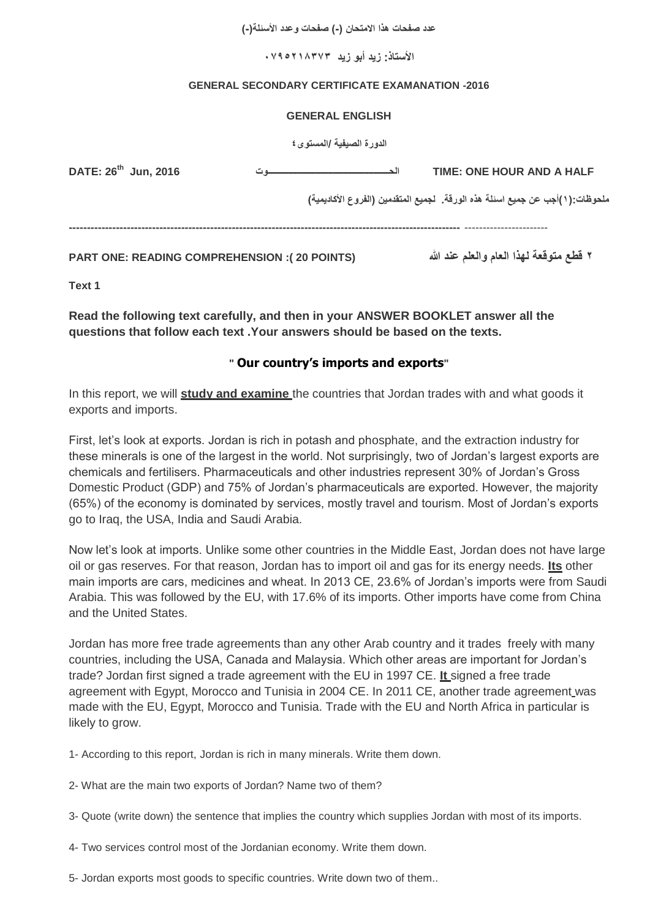**عدد صفحات هذا االمتحان )-( صفحات وعدد األسئلة)-(**

**األستاذ: زيد أبو زيد 3738125070**

#### **GENERAL SECONDARY CERTIFICATE EXAMANATION -2016**

#### **GENERAL ENGLISH**

**الدورة الصيفية /المستوى4**

| DATE: 26 <sup>th</sup> Jun, 2016                    | TIME: ONE HOUR AND A HALF                                                         |
|-----------------------------------------------------|-----------------------------------------------------------------------------------|
|                                                     | ملحوظات: ( ١ )أجب عن جميع اسئلة هذه الورقة.   لجميع المتقدمين (الفروع الأكاديمية) |
|                                                     |                                                                                   |
| <b>PART ONE: READING COMPREHENSION :(20 POINTS)</b> | ٢ قطع متوقعة لـهذا الـعام والـعلم عند الله                                        |

**Text 1** 

**Read the following text carefully, and then in your ANSWER BOOKLET answer all the questions that follow each text .Your answers should be based on the texts.**

#### **" Our country's imports and exports"**

In this report, we will **study and examine** the countries that Jordan trades with and what goods it exports and imports.

First, let's look at exports. Jordan is rich in potash and phosphate, and the extraction industry for these minerals is one of the largest in the world. Not surprisingly, two of Jordan's largest exports are chemicals and fertilisers. Pharmaceuticals and other industries represent 30% of Jordan's Gross Domestic Product (GDP) and 75% of Jordan's pharmaceuticals are exported. However, the majority (65%) of the economy is dominated by services, mostly travel and tourism. Most of Jordan's exports go to Iraq, the USA, India and Saudi Arabia.

Now let's look at imports. Unlike some other countries in the Middle East, Jordan does not have large oil or gas reserves. For that reason, Jordan has to import oil and gas for its energy needs. **Its** other main imports are cars, medicines and wheat. In 2013 CE, 23.6% of Jordan's imports were from Saudi Arabia. This was followed by the EU, with 17.6% of its imports. Other imports have come from China and the United States.

Jordan has more free trade agreements than any other Arab country and it trades freely with many countries, including the USA, Canada and Malaysia. Which other areas are important for Jordan's trade? Jordan first signed a trade agreement with the EU in 1997 CE. **It** signed a free trade agreement with Egypt, Morocco and Tunisia in 2004 CE. In 2011 CE, another trade agreement was made with the EU, Egypt, Morocco and Tunisia. Trade with the EU and North Africa in particular is likely to grow.

1- According to this report, Jordan is rich in many minerals. Write them down.

- 2- What are the main two exports of Jordan? Name two of them?
- 3- Quote (write down) the sentence that implies the country which supplies Jordan with most of its imports.
- 4- Two services control most of the Jordanian economy. Write them down.
- 5- Jordan exports most goods to specific countries. Write down two of them..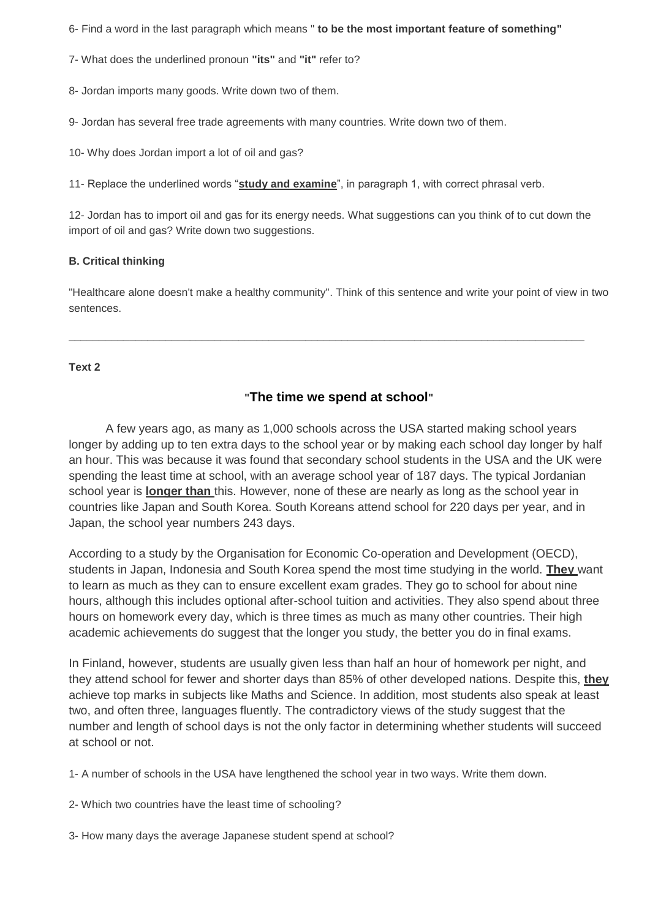6- Find a word in the last paragraph which means " **to be the most important feature of something"**

7- What does the underlined pronoun **"its"** and **"it"** refer to?

8- Jordan imports many goods. Write down two of them.

9- Jordan has several free trade agreements with many countries. Write down two of them.

10- Why does Jordan import a lot of oil and gas?

11- Replace the underlined words "**study and examine**", in paragraph 1, with correct phrasal verb.

12- Jordan has to import oil and gas for its energy needs. What suggestions can you think of to cut down the import of oil and gas? Write down two suggestions.

### **B. Critical thinking**

"Healthcare alone doesn't make a healthy community". Think of this sentence and write your point of view in two sentences.

**\_\_\_\_\_\_\_\_\_\_\_\_\_\_\_\_\_\_\_\_\_\_\_\_\_\_\_\_\_\_\_\_\_\_\_\_\_\_\_\_\_\_\_\_\_\_\_\_\_\_\_\_\_\_\_\_\_\_\_\_\_\_\_\_\_\_\_\_\_\_\_\_\_\_\_\_\_\_\_\_\_\_\_\_\_**

#### **Text 2**

### **"The time we spend at school"**

 A few years ago, as many as 1,000 schools across the USA started making school years longer by adding up to ten extra days to the school year or by making each school day longer by half an hour. This was because it was found that secondary school students in the USA and the UK were spending the least time at school, with an average school year of 187 days. The typical Jordanian school year is **longer than** this. However, none of these are nearly as long as the school year in countries like Japan and South Korea. South Koreans attend school for 220 days per year, and in Japan, the school year numbers 243 days.

According to a study by the Organisation for Economic Co-operation and Development (OECD), students in Japan, Indonesia and South Korea spend the most time studying in the world. **They** want to learn as much as they can to ensure excellent exam grades. They go to school for about nine hours, although this includes optional after-school tuition and activities. They also spend about three hours on homework every day, which is three times as much as many other countries. Their high academic achievements do suggest that the longer you study, the better you do in final exams.

In Finland, however, students are usually given less than half an hour of homework per night, and they attend school for fewer and shorter days than 85% of other developed nations. Despite this, **they** achieve top marks in subjects like Maths and Science. In addition, most students also speak at least two, and often three, languages fluently. The contradictory views of the study suggest that the number and length of school days is not the only factor in determining whether students will succeed at school or not.

1- A number of schools in the USA have lengthened the school year in two ways. Write them down.

2- Which two countries have the least time of schooling?

3- How many days the average Japanese student spend at school?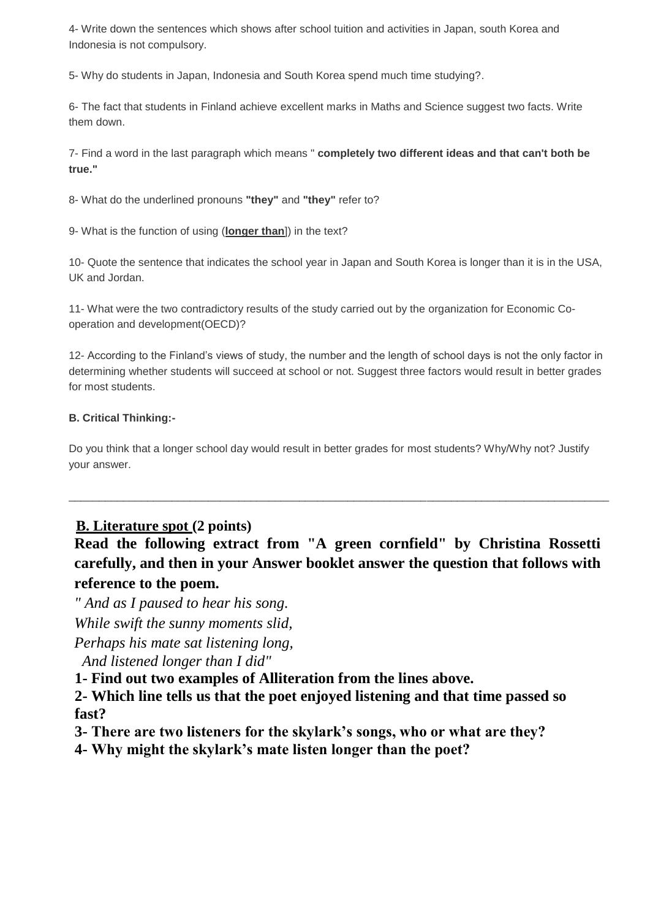4- Write down the sentences which shows after school tuition and activities in Japan, south Korea and Indonesia is not compulsory.

5- Why do students in Japan, Indonesia and South Korea spend much time studying?.

6- The fact that students in Finland achieve excellent marks in Maths and Science suggest two facts. Write them down.

7- Find a word in the last paragraph which means " **completely two different ideas and that can't both be true."**

8- What do the underlined pronouns **"they"** and **"they"** refer to?

9- What is the function of using (**longer than**]) in the text?

10- Quote the sentence that indicates the school year in Japan and South Korea is longer than it is in the USA, UK and Jordan.

11- What were the two contradictory results of the study carried out by the organization for Economic Cooperation and development(OECD)?

12- According to the Finland's views of study, the number and the length of school days is not the only factor in determining whether students will succeed at school or not. Suggest three factors would result in better grades for most students.

### **B. Critical Thinking:-**

Do you think that a longer school day would result in better grades for most students? Why/Why not? Justify your answer.

# **B. Literature spot (2 points)**

**Read the following extract from "A green cornfield" by Christina Rossetti carefully, and then in your Answer booklet answer the question that follows with reference to the poem.** 

\_\_\_\_\_\_\_\_\_\_\_\_\_\_\_\_\_\_\_\_\_\_\_\_\_\_\_\_\_\_\_\_\_\_\_\_\_\_\_\_\_\_\_\_\_\_\_\_\_\_\_\_\_\_\_\_\_\_\_\_\_\_\_\_\_\_\_\_\_\_\_\_\_\_\_\_\_\_\_\_\_\_\_\_\_\_\_\_\_

*" And as I paused to hear his song.*

*While swift the sunny moments slid,*

*Perhaps his mate sat listening long,*

*And listened longer than I did"*

**1- Find out two examples of Alliteration from the lines above.**

**2- Which line tells us that the poet enjoyed listening and that time passed so fast?**

**3- There are two listeners for the skylark's songs, who or what are they?**

**4- Why might the skylark's mate listen longer than the poet?**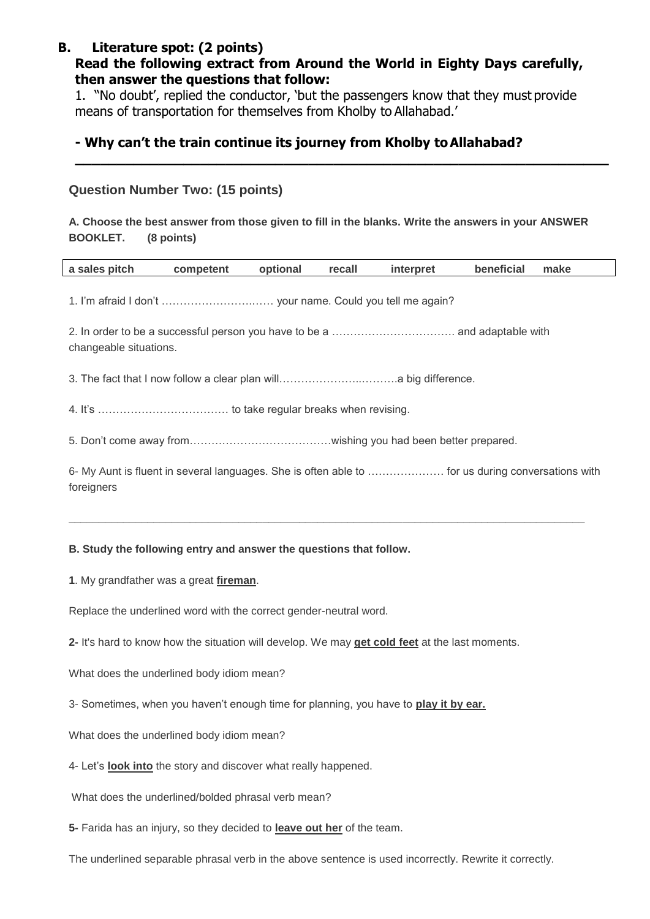# **B. Literature spot: (2 points)**

## **Read the following extract from Around the World in Eighty Days carefully, then answer the questions that follow:**

1. "No doubt', replied the conductor, 'but the passengers know that they must provide means of transportation for themselves from Kholby to Allahabad.'

## **- Why can't the train continue its journey from Kholby toAllahabad?**

### **Question Number Two: (15 points)**

### **A. Choose the best answer from those given to fill in the blanks. Write the answers in your ANSWER BOOKLET. (8 points)**

**\_\_\_\_\_\_\_\_\_\_\_\_\_\_\_\_\_\_\_\_\_\_\_\_\_\_\_\_\_\_\_\_\_\_\_\_\_\_\_\_\_\_\_\_\_\_\_\_\_\_\_\_\_\_\_\_\_\_\_\_\_\_\_\_**

| a sales pitch                                                                                                   | competent | optional | recall | interpret | beneficial | make |
|-----------------------------------------------------------------------------------------------------------------|-----------|----------|--------|-----------|------------|------|
|                                                                                                                 |           |          |        |           |            |      |
| changeable situations.                                                                                          |           |          |        |           |            |      |
|                                                                                                                 |           |          |        |           |            |      |
|                                                                                                                 |           |          |        |           |            |      |
|                                                                                                                 |           |          |        |           |            |      |
| 6- My Aunt is fluent in several languages. She is often able to  for us during conversations with<br>foreigners |           |          |        |           |            |      |

**\_\_\_\_\_\_\_\_\_\_\_\_\_\_\_\_\_\_\_\_\_\_\_\_\_\_\_\_\_\_\_\_\_\_\_\_\_\_\_\_\_\_\_\_\_\_\_\_\_\_\_\_\_\_\_\_\_\_\_\_\_\_\_\_\_\_\_\_\_\_\_\_\_\_\_\_\_\_\_\_\_\_\_\_\_**

### **B. Study the following entry and answer the questions that follow.**

**1**. My grandfather was a great **fireman**.

Replace the underlined word with the correct gender-neutral word.

**2-** It's hard to know how the situation will develop. We may **get cold feet** at the last moments.

What does the underlined body idiom mean?

3- Sometimes, when you haven't enough time for planning, you have to **play it by ear.**

What does the underlined body idiom mean?

4- Let's **look into** the story and discover what really happened.

What does the underlined/bolded phrasal verb mean?

**5-** Farida has an injury, so they decided to **leave out her** of the team.

The underlined separable phrasal verb in the above sentence is used incorrectly. Rewrite it correctly.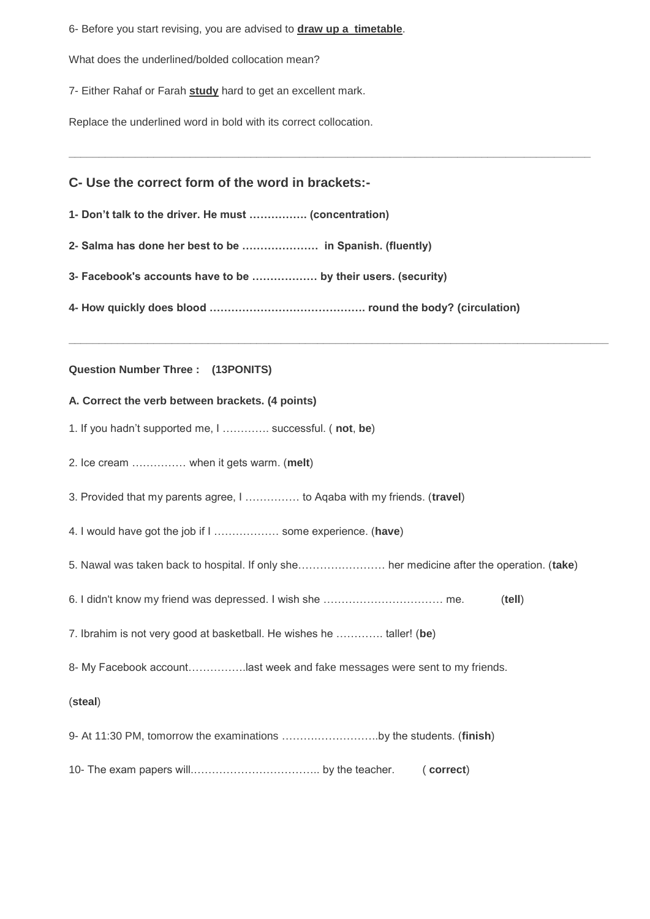6- Before you start revising, you are advised to **draw up a timetable**.

What does the underlined/bolded collocation mean?

7- Either Rahaf or Farah **study** hard to get an excellent mark.

Replace the underlined word in bold with its correct collocation.

### **C- Use the correct form of the word in brackets:-**

**1- Don't talk to the driver. He must ……………. (concentration)**

**2- Salma has done her best to be ………………… in Spanish. (fluently)**

**3- Facebook's accounts have to be ……………… by their users. (security)**

**4- How quickly does blood ……………………………………. round the body? (circulation)**

**\_\_\_\_\_\_\_\_\_\_\_\_\_\_\_\_\_\_\_\_\_\_\_\_\_\_\_\_\_\_\_\_\_\_\_\_\_\_\_\_\_\_\_\_\_\_\_\_\_\_\_\_\_\_\_\_\_\_\_\_\_\_\_\_\_\_\_\_\_\_\_\_\_\_\_\_\_\_\_\_\_\_\_\_\_\_**

**\_\_\_\_\_\_\_\_\_\_\_\_\_\_\_\_\_\_\_\_\_\_\_\_\_\_\_\_\_\_\_\_\_\_\_\_\_\_\_\_\_\_\_\_\_\_\_\_\_\_\_\_\_\_\_\_\_\_\_\_\_\_\_\_\_\_\_\_\_\_\_\_\_\_\_\_\_\_\_\_\_\_\_\_\_\_\_\_\_**

#### **Question Number Three : (13PONITS)**

#### **A. Correct the verb between brackets. (4 points)**

- 1. If you hadn't supported me, I …………. successful. ( **not**, **be**)
- 2. Ice cream …………… when it gets warm. (**melt**)
- 3. Provided that my parents agree, I …………… to Aqaba with my friends. (**travel**)
- 4. I would have got the job if I ……………… some experience. (**have**)
- 5. Nawal was taken back to hospital. If only she…………………… her medicine after the operation. (**take**)
- 6. I didn't know my friend was depressed. I wish she …………………………… me. (**tell**)

7. Ibrahim is not very good at basketball. He wishes he …………. taller! (**be**)

8- My Facebook account…………….last week and fake messages were sent to my friends.

(**steal**)

9- At 11:30 PM, tomorrow the examinations ……….……………..by the students. (**finish**)

10- The exam papers will.…………………………….. by the teacher. ( **correct**)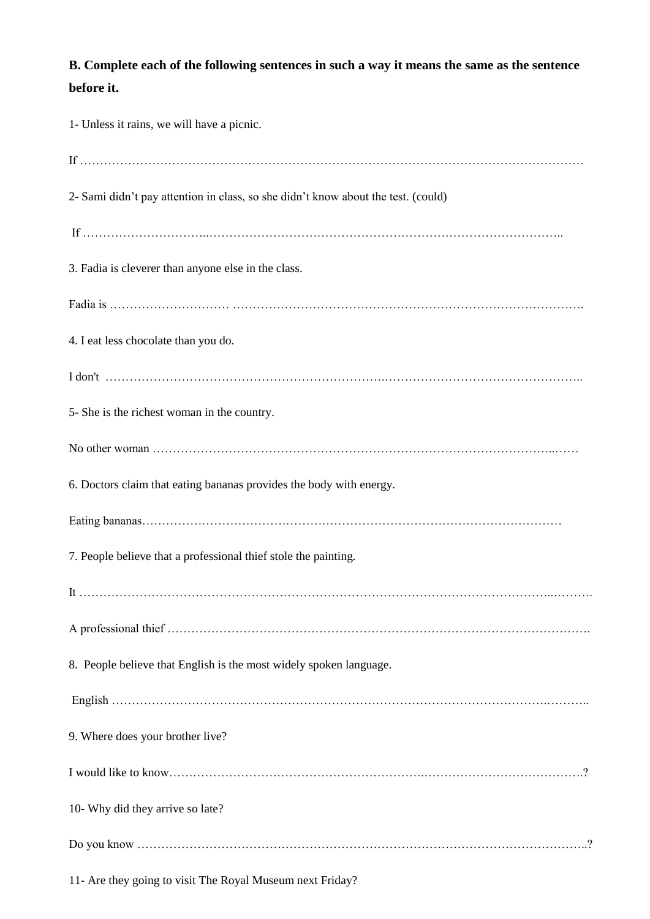# **B. Complete each of the following sentences in such a way it means the same as the sentence before it.**

| 1- Unless it rains, we will have a picnic.                                        |
|-----------------------------------------------------------------------------------|
|                                                                                   |
| 2- Sami didn't pay attention in class, so she didn't know about the test. (could) |
|                                                                                   |
| 3. Fadia is cleverer than anyone else in the class.                               |
|                                                                                   |
| 4. I eat less chocolate than you do.                                              |
|                                                                                   |
| 5- She is the richest woman in the country.                                       |
|                                                                                   |
| 6. Doctors claim that eating bananas provides the body with energy.               |
|                                                                                   |
| 7. People believe that a professional thief stole the painting.                   |
|                                                                                   |
|                                                                                   |
| 8. People believe that English is the most widely spoken language.                |
|                                                                                   |
| 9. Where does your brother live?                                                  |
|                                                                                   |
| 10- Why did they arrive so late?                                                  |
|                                                                                   |

11- Are they going to visit The Royal Museum next Friday?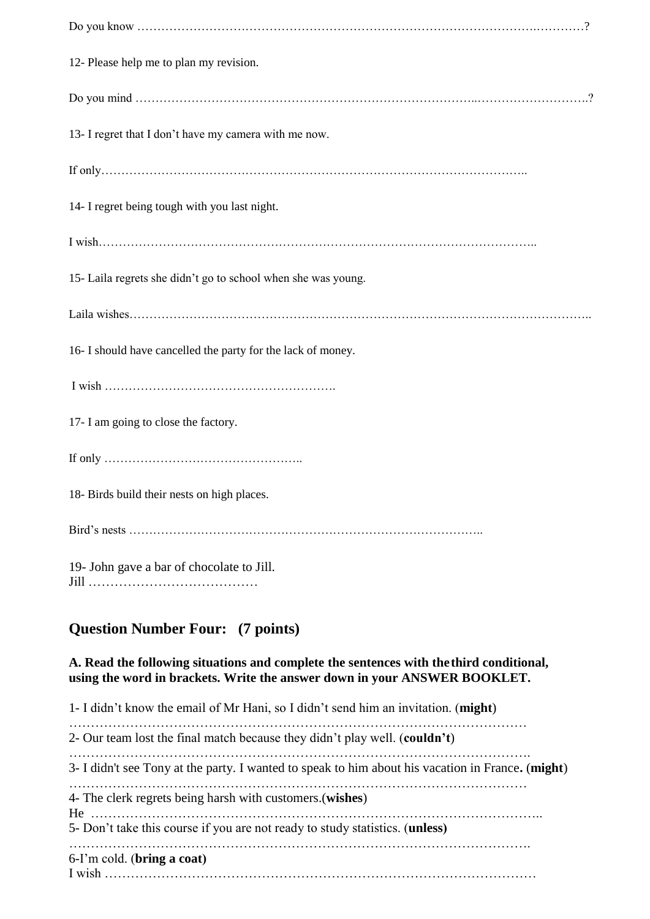| 12- Please help me to plan my revision.                       |
|---------------------------------------------------------------|
|                                                               |
| 13- I regret that I don't have my camera with me now.         |
|                                                               |
| 14- I regret being tough with you last night.                 |
|                                                               |
| 15- Laila regrets she didn't go to school when she was young. |
|                                                               |
| 16- I should have cancelled the party for the lack of money.  |
|                                                               |
| 17- I am going to close the factory.                          |
|                                                               |
| 18- Birds build their nests on high places.                   |
|                                                               |
| 19- John gave a bar of chocolate to Jill.<br>Ti11 -           |

# **Question Number Four: (7 points)**

**A. Read the following situations and complete the sentences with thethird conditional, using the word in brackets. Write the answer down in your ANSWER BOOKLET.** 

1- I didn't know the email of Mr Hani, so I didn't send him an invitation. (**might**) …………………………………………………………………………………………… 2- Our team lost the final match because they didn't play well. (**couldn't**) ……………………………………………………………………………………………. 3- I didn't see Tony at the party. I wanted to speak to him about his vacation in France**.** (**might**) …………………………………………………………………………………………… 4- The clerk regrets being harsh with customers.(**wishes**) He ………………………………………………………………………………………….. 5- Don't take this course if you are not ready to study statistics. (**unless(** ……………………………………………………………………………………………. 6-I'm cold. (**bring a coat(** I wish ………………………………………………………………………………………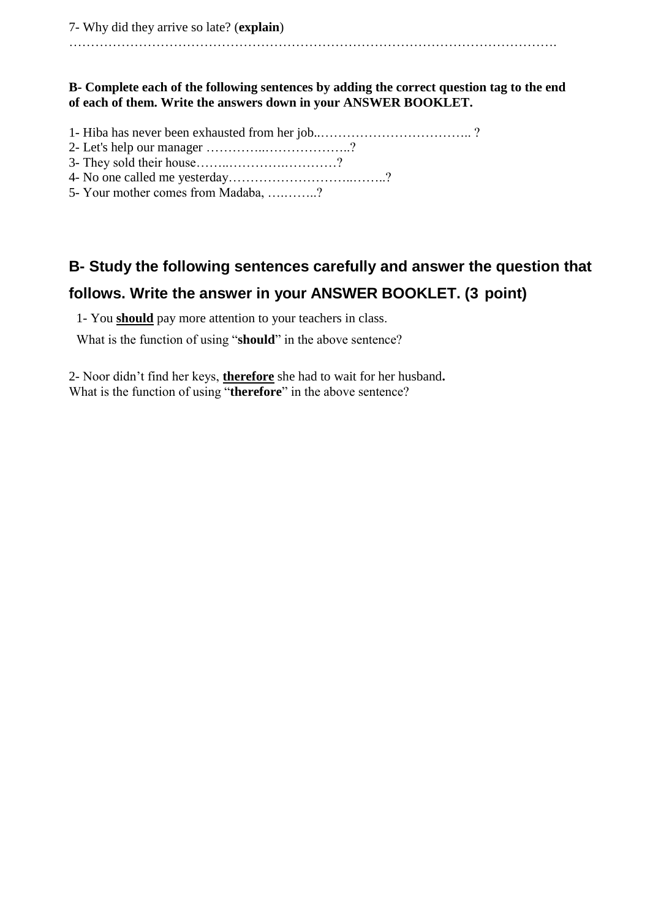………………………………………………………………………………………………….

### **B- Complete each of the following sentences by adding the correct question tag to the end of each of them. Write the answers down in your ANSWER BOOKLET.**

- 1- Hiba has never been exhausted from her job..…………………………….. ?
- 2- Let's help our manager …………..………………..?
- 3- They sold their house……..………….…………?
- 4- No one called me yesterday………………………..……..?
- 5- Your mother comes from Madaba, ….……..?

# **B- Study the following sentences carefully and answer the question that follows. Write the answer in your ANSWER BOOKLET. (3 point)**

1- You **should** pay more attention to your teachers in class.

What is the function of using "**should**" in the above sentence?

2- Noor didn't find her keys, **therefore** she had to wait for her husband**.** What is the function of using "**therefore**" in the above sentence?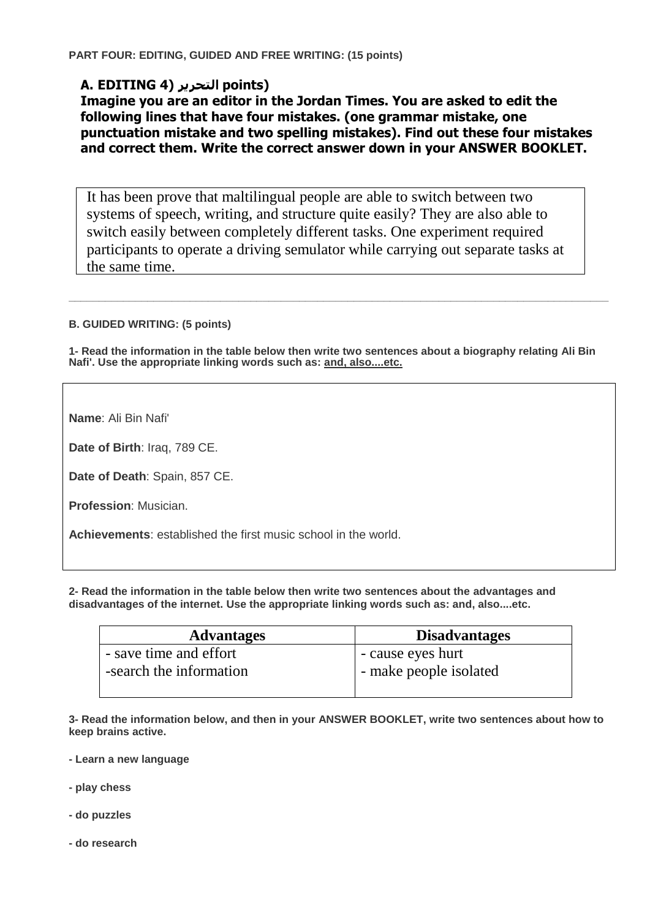# **A. EDITING 4) التحرير points)**

**Imagine you are an editor in the Jordan Times. You are asked to edit the following lines that have four mistakes. (one grammar mistake, one punctuation mistake and two spelling mistakes). Find out these four mistakes and correct them. Write the correct answer down in your ANSWER BOOKLET.**

It has been prove that maltilingual people are able to switch between two systems of speech, writing, and structure quite easily? They are also able to switch easily between completely different tasks. One experiment required participants to operate a driving semulator while carrying out separate tasks at the same time.

**B. GUIDED WRITING: (5 points)**

**1- Read the information in the table below then write two sentences about a biography relating Ali Bin Nafi'. Use the appropriate linking words such as: and, also....etc.**

**\_\_\_\_\_\_\_\_\_\_\_\_\_\_\_\_\_\_\_\_\_\_\_\_\_\_\_\_\_\_\_\_\_\_\_\_\_\_\_\_\_\_\_\_\_\_\_\_\_\_\_\_\_\_\_\_\_\_\_\_\_\_\_\_\_\_\_\_\_\_\_\_\_\_\_\_\_\_\_\_\_\_\_\_\_\_\_\_\_**

**Name**: Ali Bin Nafi'

**Date of Birth**: Iraq, 789 CE.

**Date of Death**: Spain, 857 CE.

**Profession**: Musician.

**Achievements**: established the first music school in the world.

**2- Read the information in the table below then write two sentences about the advantages and disadvantages of the internet. Use the appropriate linking words such as: and, also....etc.**

| <b>Advantages</b>       | <b>Disadvantages</b>   |
|-------------------------|------------------------|
| - save time and effort  | - cause eyes hurt      |
| -search the information | - make people isolated |
|                         |                        |

**3- Read the information below, and then in your ANSWER BOOKLET, write two sentences about how to keep brains active.**

**- Learn a new language**

**- play chess**

**- do puzzles**

**- do research**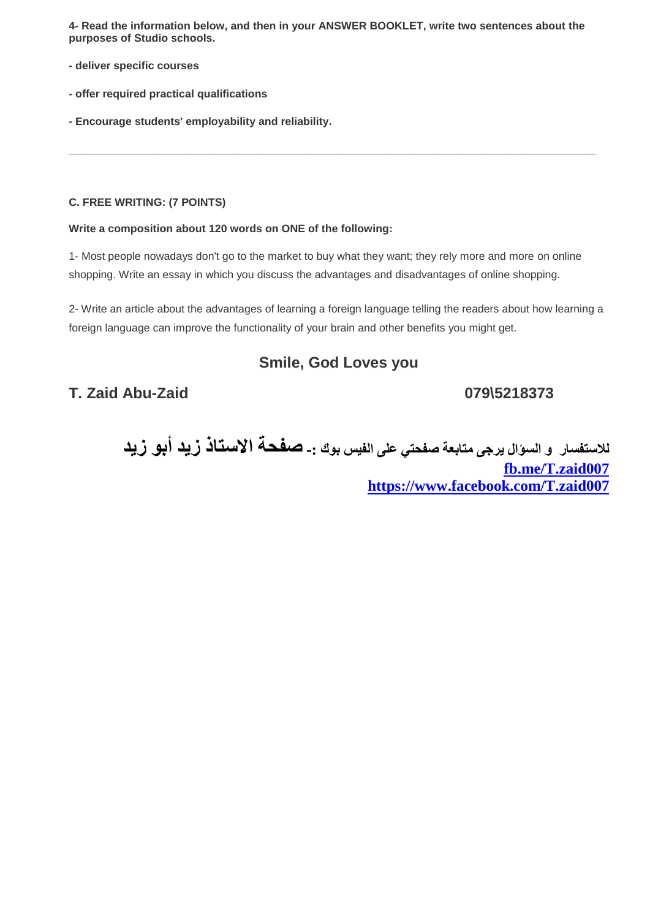**4- Read the information below, and then in your ANSWER BOOKLET, write two sentences about the purposes of Studio schools.**

**\_\_\_\_\_\_\_\_\_\_\_\_\_\_\_\_\_\_\_\_\_\_\_\_\_\_\_\_\_\_\_\_\_\_\_\_\_\_\_\_\_\_\_\_\_\_\_\_\_\_\_\_\_\_\_\_\_\_\_\_\_\_\_\_\_\_\_\_\_\_\_\_\_\_\_\_\_\_\_\_\_\_\_\_\_\_\_**

- **- deliver specific courses**
- **- offer required practical qualifications**
- **- Encourage students' employability and reliability.**

#### **C. FREE WRITING: (7 POINTS)**

#### **Write a composition about 120 words on ONE of the following:**

1- Most people nowadays don't go to the market to buy what they want; they rely more and more on online shopping. Write an essay in which you discuss the advantages and disadvantages of online shopping.

2- Write an article about the advantages of learning a foreign language telling the readers about how learning a foreign language can improve the functionality of your brain and other benefits you might get.

# **Smile, God Loves you**

# **T. Zaid Abu-Zaid 079\5218373**

**لالستفسبر و السؤال يرجى متببعة صفحتي على الفيس بوك -: صفحة االستبذ زيد أبو زيد [fb.me/T.zaid007](http://l.facebook.com/l.php?u=http%3A%2F%2Ffb.me%2FT.zaid007&h=HAQFskzEy) <https://www.facebook.com/T.zaid007>**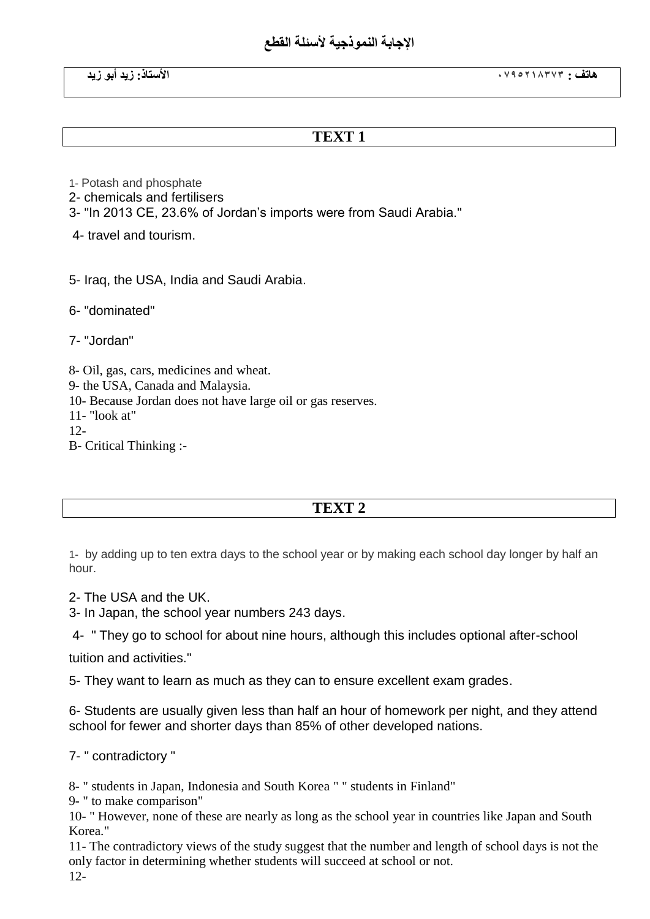# الإجابة النمو *ذجي*ة لأسئلة القطع

### **TEXT 1**

1- Potash and phosphate

2- chemicals and fertilisers

3- "In 2013 CE, 23.6% of Jordan's imports were from Saudi Arabia."

4- travel and tourism.

5- Iraq, the USA, India and Saudi Arabia.

6- "dominated"

7- "Jordan"

8- Oil, gas, cars, medicines and wheat. 9- the USA, Canada and Malaysia. 10- Because Jordan does not have large oil or gas reserves. 11- "look at"  $12 -$ B- Critical Thinking :-

# **TEXT 2**

1- by adding up to ten extra days to the school year or by making each school day longer by half an hour.

2- The USA and the UK.

3- In Japan, the school year numbers 243 days.

4- " They go to school for about nine hours, although this includes optional after-school

tuition and activities."

5- They want to learn as much as they can to ensure excellent exam grades.

6- Students are usually given less than half an hour of homework per night, and they attend school for fewer and shorter days than 85% of other developed nations.

7- " contradictory "

8- " students in Japan, Indonesia and South Korea " " students in Finland"

9- " to make comparison"

10- " However, none of these are nearly as long as the school year in countries like Japan and South Korea."

11- The contradictory views of the study suggest that the number and length of school days is not the only factor in determining whether students will succeed at school or not. 12